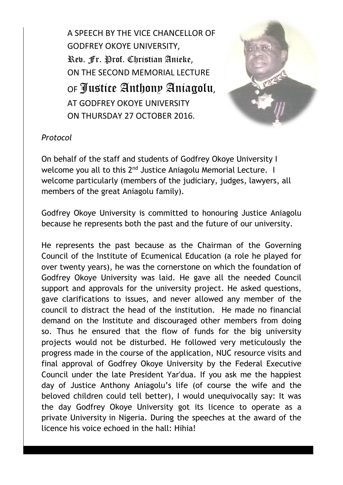A SPEECH BY THE VICE CHANCELLOR OF GODFREY OKOYE UNIVERSITY, Rev. Fr. Prof. Christian Anieke, ON THE SECOND MEMORIAL LECTURE OF Justice Anthony Aniagolu, AT GODFREY OKOYE UNIVERSITY ON THURSDAY 27 OCTOBER 2016.



## *Protocol*

On behalf of the staff and students of Godfrey Okoye University I welcome you all to this 2<sup>nd</sup> Justice Aniagolu Memorial Lecture. I welcome particularly (members of the judiciary, judges, lawyers, all members of the great Aniagolu family).

Godfrey Okoye University is committed to honouring Justice Aniagolu because he represents both the past and the future of our university.

He represents the past because as the Chairman of the Governing Council of the Institute of Ecumenical Education (a role he played for over twenty years), he was the cornerstone on which the foundation of Godfrey Okoye University was laid. He gave all the needed Council support and approvals for the university project. He asked questions, gave clarifications to issues, and never allowed any member of the council to distract the head of the institution. He made no financial demand on the Institute and discouraged other members from doing so. Thus he ensured that the flow of funds for the big university projects would not be disturbed. He followed very meticulously the progress made in the course of the application, NUC resource visits and final approval of Godfrey Okoye University by the Federal Executive Council under the late President Yar'dua. If you ask me the happiest day of Justice Anthony Aniagolu's life (of course the wife and the beloved children could tell better), I would unequivocally say: It was the day Godfrey Okoye University got its licence to operate as a private University in Nigeria. During the speeches at the award of the licence his voice echoed in the hall: Hihia!